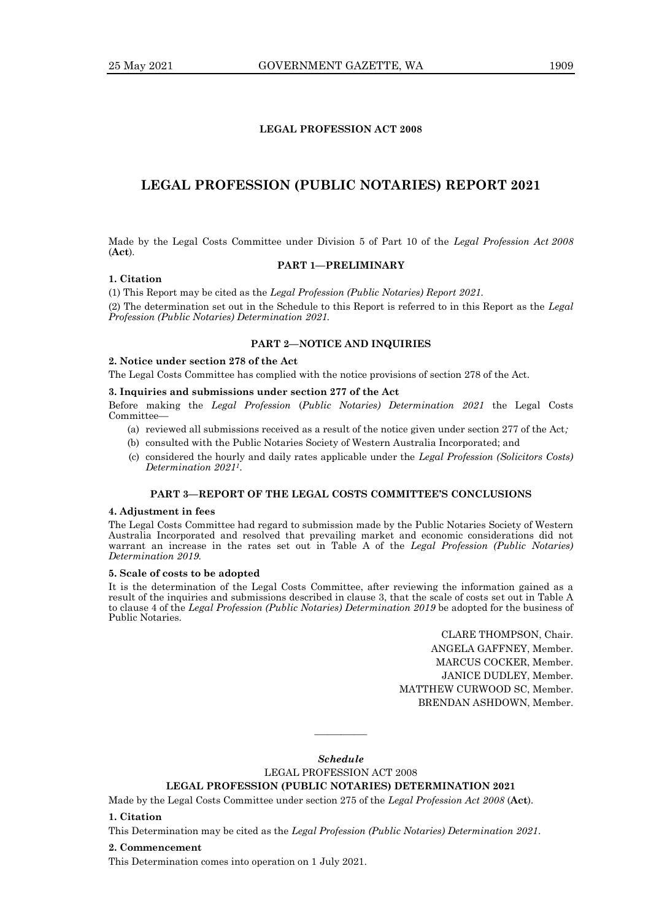## **LEGAL PROFESSION ACT 2008**

# **LEGAL PROFESSION (PUBLIC NOTARIES) REPORT 2021**

Made by the Legal Costs Committee under Division 5 of Part 10 of the *Legal Profession Act 2008*  (**Act**)*.*

### **PART 1—PRELIMINARY**

### **1. Citation**

(1) This Report may be cited as the *Legal Profession (Public Notaries) Report 2021.* (2) The determination set out in the Schedule to this Report is referred to in this Report as the *Legal Profession (Public Notaries) Determination 2021.*

### **PART 2—NOTICE AND INQUIRIES**

### **2. Notice under section 278 of the Act**

The Legal Costs Committee has complied with the notice provisions of section 278 of the Act.

#### **3. Inquiries and submissions under section 277 of the Act**

Before making the *Legal Profession* (*Public Notaries) Determination 2021* the Legal Costs Committee—

- (a) reviewed all submissions received as a result of the notice given under section 277 of the Act*;*
- (b) consulted with the Public Notaries Society of Western Australia Incorporated; and
- (c) considered the hourly and daily rates applicable under the *Legal Profession (Solicitors Costs) Determination 20211*.

## **PART 3—REPORT OF THE LEGAL COSTS COMMITTEE'S CONCLUSIONS**

#### **4. Adjustment in fees**

The Legal Costs Committee had regard to submission made by the Public Notaries Society of Western Australia Incorporated and resolved that prevailing market and economic considerations did not warrant an increase in the rates set out in Table A of the *Legal Profession (Public Notaries) Determination 2019.*

#### **5. Scale of costs to be adopted**

It is the determination of the Legal Costs Committee, after reviewing the information gained as a result of the inquiries and submissions described in clause 3, that the scale of costs set out in Table A to clause 4 of the *Legal Profession (Public Notaries) Determination 2019* be adopted for the business of Public Notaries.

> CLARE THOMPSON, Chair. ANGELA GAFFNEY, Member. MARCUS COCKER, Member. JANICE DUDLEY, Member. MATTHEW CURWOOD SC, Member. BRENDAN ASHDOWN, Member.

*Schedule* LEGAL PROFESSION ACT 2008 **LEGAL PROFESSION (PUBLIC NOTARIES) DETERMINATION 2021**

————

Made by the Legal Costs Committee under section 275 of the *Legal Profession Act 2008* (**Act**)*.*

# **1. Citation**

This Determination may be cited as the *Legal Profession (Public Notaries) Determination 2021*.

#### **2. Commencement**

This Determination comes into operation on 1 July 2021.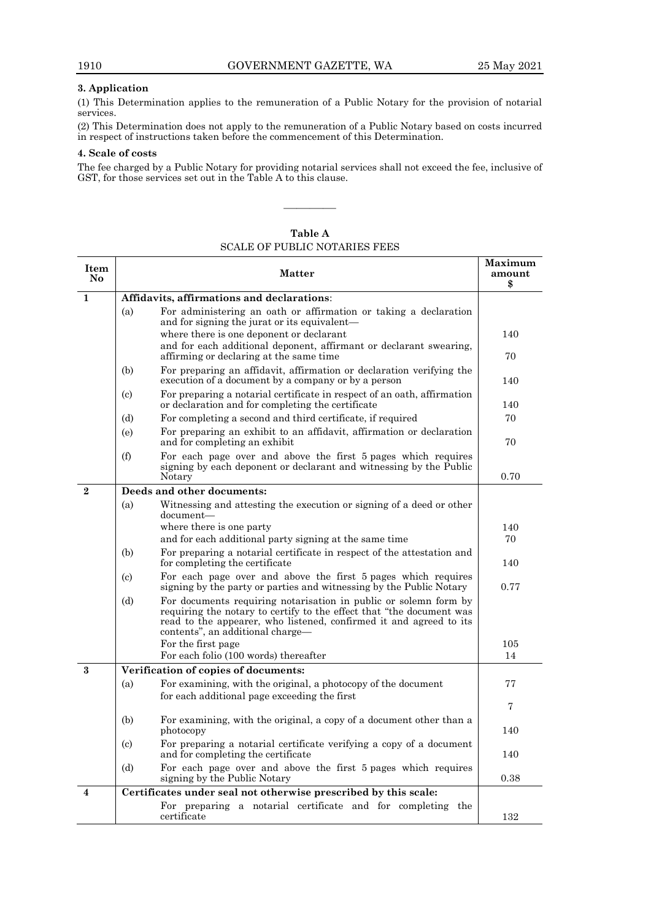### **3. Application**

(1) This Determination applies to the remuneration of a Public Notary for the provision of notarial services.

(2) This Determination does not apply to the remuneration of a Public Notary based on costs incurred in respect of instructions taken before the commencement of this Determination.

### **4. Scale of costs**

┯

The fee charged by a Public Notary for providing notarial services shall not exceed the fee, inclusive of GST, for those services set out in the Table A to this clause.

————

| Item<br>N <sub>0</sub>  | <b>Matter</b>                                                                                                                                                                                                                                             | Maximum<br>amount<br>\$ |
|-------------------------|-----------------------------------------------------------------------------------------------------------------------------------------------------------------------------------------------------------------------------------------------------------|-------------------------|
| $\mathbf{1}$            | Affidavits, affirmations and declarations:                                                                                                                                                                                                                |                         |
|                         | For administering an oath or affirmation or taking a declaration<br>(a)<br>and for signing the jurat or its equivalent—                                                                                                                                   |                         |
|                         | where there is one deponent or declarant                                                                                                                                                                                                                  | 140                     |
|                         | and for each additional deponent, affirmant or declarant swearing,<br>affirming or declaring at the same time                                                                                                                                             | 70                      |
|                         | For preparing an affidavit, affirmation or declaration verifying the<br>(b)<br>execution of a document by a company or by a person                                                                                                                        | 140                     |
|                         | For preparing a notarial certificate in respect of an oath, affirmation<br>(c)<br>or declaration and for completing the certificate                                                                                                                       | 140                     |
|                         | For completing a second and third certificate, if required<br>(d)                                                                                                                                                                                         | 70                      |
|                         | For preparing an exhibit to an affidavit, affirmation or declaration<br>(e)<br>and for completing an exhibit                                                                                                                                              | 70                      |
|                         | For each page over and above the first 5 pages which requires<br>(f)<br>signing by each deponent or declarant and witnessing by the Public<br>Notary                                                                                                      | 0.70                    |
| $\overline{2}$          | Deeds and other documents:                                                                                                                                                                                                                                |                         |
|                         | (a)<br>Witnessing and attesting the execution or signing of a deed or other<br>document-                                                                                                                                                                  |                         |
|                         | where there is one party                                                                                                                                                                                                                                  | 140                     |
|                         | and for each additional party signing at the same time                                                                                                                                                                                                    | 70                      |
|                         | For preparing a notarial certificate in respect of the attestation and<br>(b)<br>for completing the certificate                                                                                                                                           | 140                     |
|                         | For each page over and above the first 5 pages which requires<br>$\left( \mathrm{c} \right)$<br>signing by the party or parties and witnessing by the Public Notary                                                                                       | 0.77                    |
|                         | For documents requiring notarisation in public or solemn form by<br>(d)<br>requiring the notary to certify to the effect that "the document was<br>read to the appearer, who listened, confirmed it and agreed to its<br>contents", an additional charge- |                         |
|                         | For the first page                                                                                                                                                                                                                                        | 105                     |
|                         | For each folio (100 words) thereafter                                                                                                                                                                                                                     | 14                      |
| $\mathbf{R}$            | Verification of copies of documents:                                                                                                                                                                                                                      |                         |
|                         | For examining, with the original, a photocopy of the document<br>(a)                                                                                                                                                                                      | 77                      |
|                         | for each additional page exceeding the first                                                                                                                                                                                                              | 7                       |
|                         | For examining, with the original, a copy of a document other than a<br>(b)<br>photocopy                                                                                                                                                                   | 140                     |
|                         | For preparing a notarial certificate verifying a copy of a document<br>$\left( \text{c}\right)$<br>and for completing the certificate                                                                                                                     | 140                     |
|                         | For each page over and above the first 5 pages which requires<br>(d)<br>signing by the Public Notary                                                                                                                                                      | 0.38                    |
| $\overline{\mathbf{4}}$ | Certificates under seal not otherwise prescribed by this scale:                                                                                                                                                                                           |                         |
|                         | For preparing a notarial certificate and for completing the<br>certificate                                                                                                                                                                                | 132                     |

**Table A** SCALE OF PUBLIC NOTARIES FEES